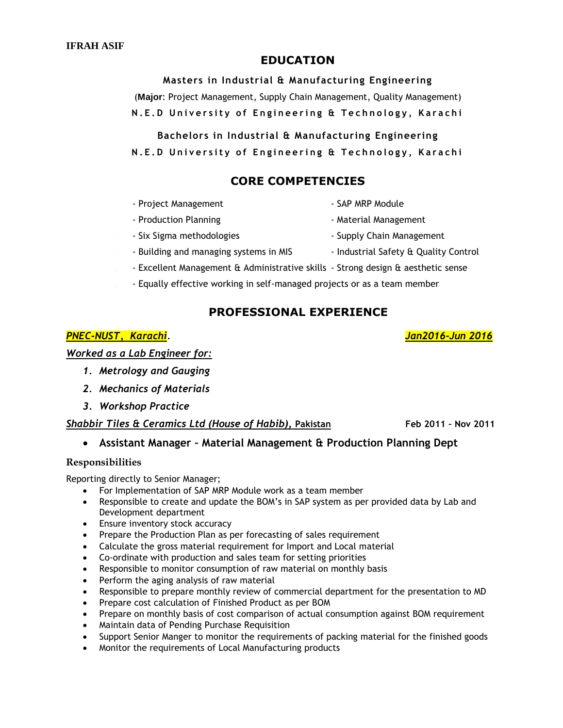## **EDUCATION**

**Masters in Industrial & Manufacturing Engineering** (**Major**: Project Management, Supply Chain Management, Quality Management) **N.E.D University of Engineering & Technology, Karachi** 

**Bachelors in Industrial & Manufacturing Engineering N.E.D University of Engineering & Technology, Karachi** 

# **CORE COMPETENCIES**

- Project Management  **SAP MRP Module**
- Production Planning  **Acceleration Planning** Material Management
- Six Sigma methodologies Supply Chain Management
- Building and managing systems in MIS Industrial Safety & Quality Control
- Excellent Management & Administrative skills Strong design & aesthetic sense
- Equally effective working in self-managed projects or as a team member

# **PROFESSIONAL EXPERIENCE**

## *PNEC-NUST, Karachi. Jan2016-Jun 2016*

*Worked as a Lab Engineer for:*

- *1. Metrology and Gauging*
- *2. Mechanics of Materials*
- *3. Workshop Practice*

## *Shabbir Tiles & Ceramics Ltd (House of Habib)***, Pakistan Feb 2011 – Nov 2011**

## **Assistant Manager – Material Management & Production Planning Dept**

#### **Responsibilities**

Reporting directly to Senior Manager;

- For Implementation of SAP MRP Module work as a team member
- Responsible to create and update the BOM's in SAP system as per provided data by Lab and Development department
- Ensure inventory stock accuracy
- Prepare the Production Plan as per forecasting of sales requirement
- Calculate the gross material requirement for Import and Local material
- Co-ordinate with production and sales team for setting priorities
- Responsible to monitor consumption of raw material on monthly basis
- Perform the aging analysis of raw material
- Responsible to prepare monthly review of commercial department for the presentation to MD
- Prepare cost calculation of Finished Product as per BOM
- Prepare on monthly basis of cost comparison of actual consumption against BOM requirement
- Maintain data of Pending Purchase Requisition
- Support Senior Manger to monitor the requirements of packing material for the finished goods
- Monitor the requirements of Local Manufacturing products